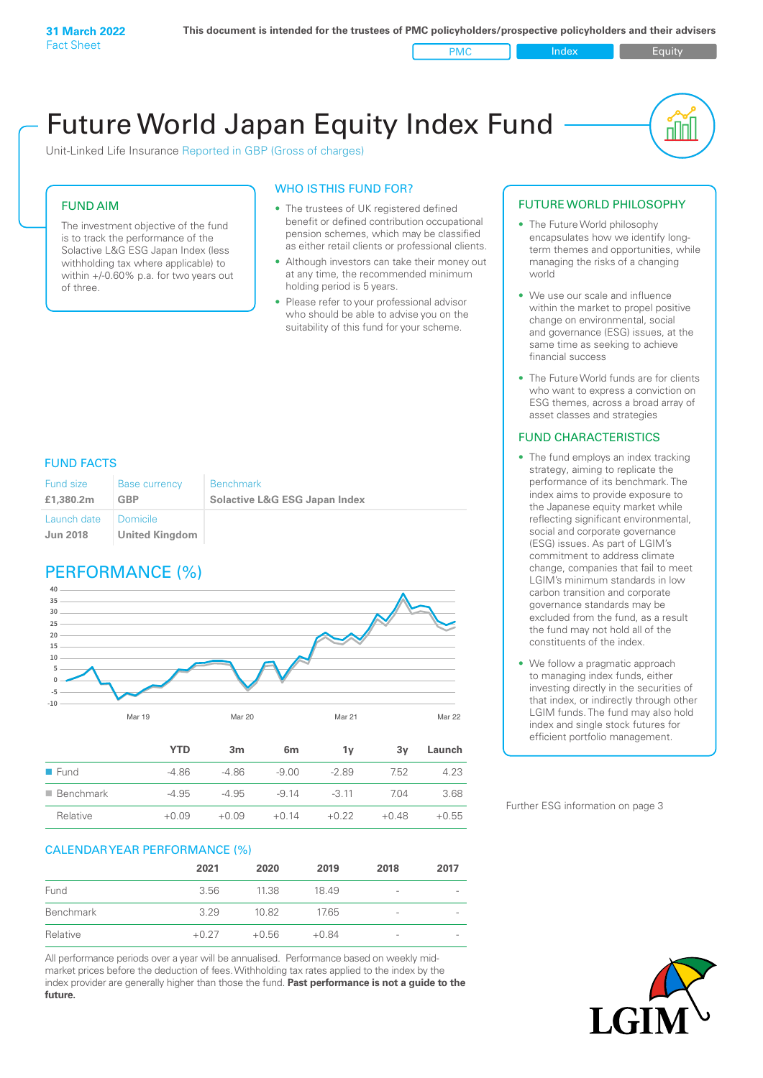PMC Index PMC Equity

nl Inl

# Future World Japan Equity Index Fund

Unit-Linked Life Insurance Reported in GBP (Gross of charges)

### FUND AIM

The investment objective of the fund is to track the performance of the Solactive L&G ESG Japan Index (less withholding tax where applicable) to within +/-0.60% p.a. for two years out of three.

#### WHO IS THIS FUND FOR?

- The trustees of UK registered defined benefit or defined contribution occupational pension schemes, which may be classified as either retail clients or professional clients.
- Although investors can take their money out at any time, the recommended minimum holding period is 5 years.
- Please refer to your professional advisor who should be able to advise you on the suitability of this fund for your scheme.

#### FUND FACTS

| Fund size<br>£1,380,2m | <b>Base currency</b><br>GBP | <b>Benchmark</b><br><b>Solactive L&amp;G ESG Japan Index</b> |
|------------------------|-----------------------------|--------------------------------------------------------------|
| Launch date   Domicile |                             |                                                              |
| <b>Jun 2018</b>        | United Kingdom              |                                                              |

### PERFORMANCE (%)



#### CALENDAR YEAR PERFORMANCE (%)

|           | 2021    | 2020    | 2019    | 2018            | 2017                     |
|-----------|---------|---------|---------|-----------------|--------------------------|
| Fund      | 3.56    | 11.38   | 1849    | -               | $\overline{\phantom{0}}$ |
| Benchmark | 3.29    | 10.82   | 17.65   | $\qquad \qquad$ | $\overline{\phantom{0}}$ |
| Relative  | $+0.27$ | $+0.56$ | $+0.84$ | $\qquad \qquad$ | $\overline{\phantom{a}}$ |

Relative +0.09 +0.09 +0.14 +0.22 +0.48 +0.55

All performance periods over a year will be annualised. Performance based on weekly midmarket prices before the deduction of fees. Withholding tax rates applied to the index by the index provider are generally higher than those the fund. **Past performance is not a guide to the future.**

#### FUTURE WORLD PHILOSOPHY

- The Future World philosophy encapsulates how we identify longterm themes and opportunities, while managing the risks of a changing world
- We use our scale and influence within the market to propel positive change on environmental, social and governance (ESG) issues, at the same time as seeking to achieve financial success
- The Future World funds are for clients who want to express a conviction on ESG themes, across a broad array of asset classes and strategies

#### FUND CHARACTERISTICS

- The fund employs an index tracking strategy, aiming to replicate the performance of its benchmark. The index aims to provide exposure to the Japanese equity market while reflecting significant environmental, social and corporate governance (ESG) issues. As part of LGIM's commitment to address climate change, companies that fail to meet LGIM's minimum standards in low carbon transition and corporate governance standards may be excluded from the fund, as a result the fund may not hold all of the constituents of the index.
- We follow a pragmatic approach to managing index funds, either investing directly in the securities of that index, or indirectly through other LGIM funds. The fund may also hold index and single stock futures for efficient portfolio management.

Further ESG information on page 3

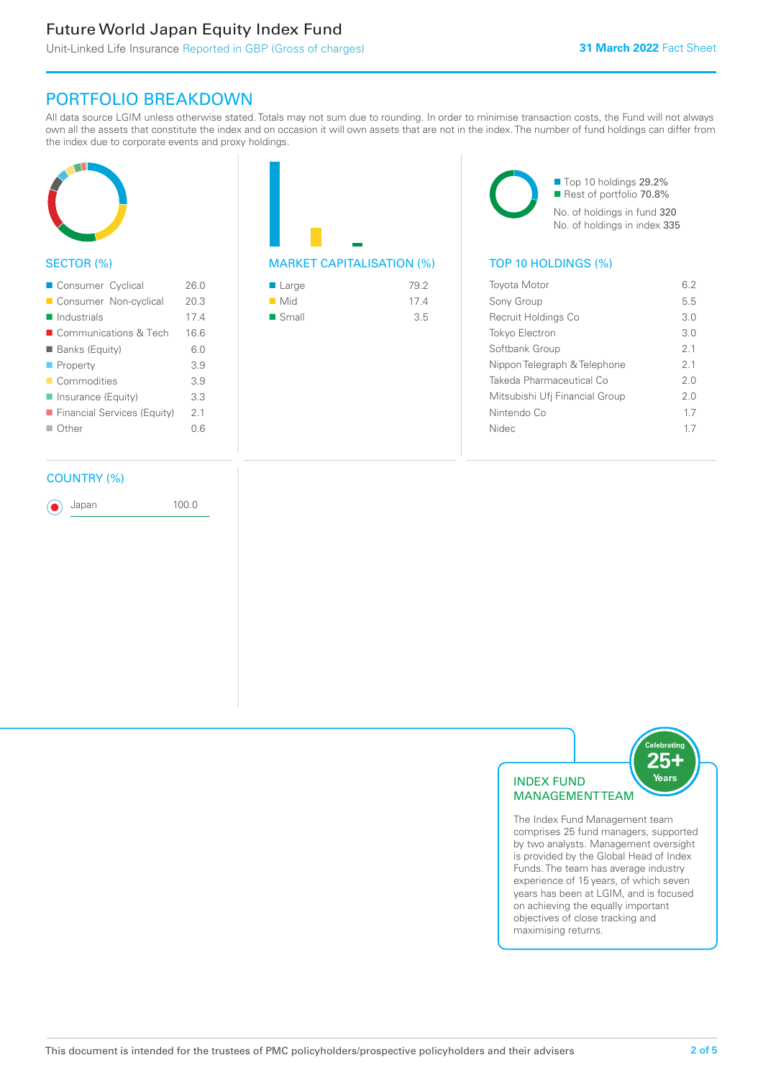### Future World Japan Equity Index Fund

## PORTFOLIO BREAKDOWN

All data source LGIM unless otherwise stated. Totals may not sum due to rounding. In order to minimise transaction costs, the Fund will not always own all the assets that constitute the index and on occasion it will own assets that are not in the index. The number of fund holdings can differ from the index due to corporate events and proxy holdings.



#### SECTOR (%)

| Consumer Cyclical           | 26.0 |
|-----------------------------|------|
| Consumer Non-cyclical       | 20.3 |
| $\blacksquare$ Industrials  | 174  |
| ■ Communications & Tech     | 166  |
| <b>Banks (Equity)</b>       | 6.0  |
| $\blacksquare$ Property     | 3.9  |
| Commodities                 | 3.9  |
| Insurance (Equity)          | 3.3  |
| Financial Services (Equity) | 2.1  |
| $\Box$ Other                | ი 6  |
|                             |      |

#### COUNTRY (%)

Japan 100.0

MARKET CAPITALISATION (%) TOP 10 HOLDINGS (%)

| $\blacksquare$ Large | 79.2 |
|----------------------|------|
| $\blacksquare$ Mid   | 174  |
| $\blacksquare$ Small | 3.5  |

■ Top 10 holdings 29.2% Rest of portfolio 70.8% No. of holdings in fund 320 No. of holdings in index 335

| <b>Toyota Motor</b>            | 6.2            |
|--------------------------------|----------------|
| Sony Group                     | 5.5            |
| Recruit Holdings Co            | 3.0            |
| <b>Tokyo Electron</b>          | 3 O            |
| Softbank Group                 | 2 <sub>1</sub> |
| Nippon Telegraph & Telephone   | 21             |
| Takeda Pharmaceutical Co       | 20             |
| Mitsubishi Ufj Financial Group | 20             |
| Nintendo Co                    | 17             |
| Nidec                          | 17             |
|                                |                |





The Index Fund Management team comprises 25 fund managers, supported by two analysts. Management oversight is provided by the Global Head of Index Funds. The team has average industry experience of 15 years, of which seven years has been at LGIM, and is focused on achieving the equally important objectives of close tracking and maximising returns.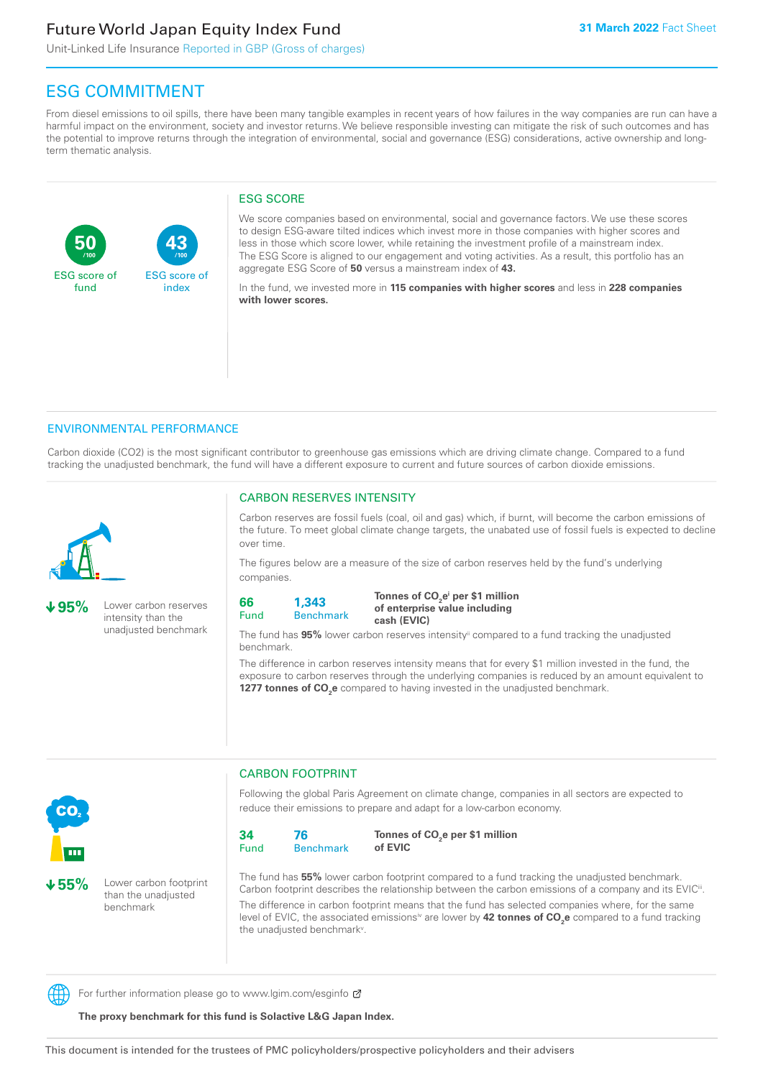### Future World Japan Equity Index Fund

**43**

ESG score of index

Unit-Linked Life Insurance Reported in GBP (Gross of charges)

### ESG COMMITMENT

From diesel emissions to oil spills, there have been many tangible examples in recent years of how failures in the way companies are run can have a harmful impact on the environment, society and investor returns. We believe responsible investing can mitigate the risk of such outcomes and has the potential to improve returns through the integration of environmental, social and governance (ESG) considerations, active ownership and longterm thematic analysis.

#### ESG SCORE

We score companies based on environmental, social and governance factors. We use these scores to design ESG-aware tilted indices which invest more in those companies with higher scores and less in those which score lower, while retaining the investment profile of a mainstream index. The ESG Score is aligned to our engagement and voting activities. As a result, this portfolio has an aggregate ESG Score of **50** versus a mainstream index of **43.**

In the fund, we invested more in **115 companies with higher scores** and less in **228 companies with lower scores.**

#### ENVIRONMENTAL PERFORMANCE

**/100 /100**

Carbon dioxide (CO2) is the most significant contributor to greenhouse gas emissions which are driving climate change. Compared to a fund tracking the unadjusted benchmark, the fund will have a different exposure to current and future sources of carbon dioxide emissions.



**50**

ESG score of fund

**95%** Lower carbon reserves intensity than the unadjusted benchmark

#### CARBON RESERVES INTENSITY

Carbon reserves are fossil fuels (coal, oil and gas) which, if burnt, will become the carbon emissions of the future. To meet global climate change targets, the unabated use of fossil fuels is expected to decline over time.

The figures below are a measure of the size of carbon reserves held by the fund's underlying companies.

**66** Fund **1,343**

Benchmark

Tonnes of CO<sub>2</sub>e<sup>i</sup> per \$1 million **of enterprise value including cash (EVIC)**

The fund has **95%** lower carbon reserves intensityii compared to a fund tracking the unadjusted benchmark.

The difference in carbon reserves intensity means that for every \$1 million invested in the fund, the exposure to carbon reserves through the underlying companies is reduced by an amount equivalent to **1277 tonnes of CO<sub>2</sub>e** compared to having invested in the unadjusted benchmark.



**55%** Lower carbon footprint than the unadjusted benchmark

CARBON FOOTPRINT

Following the global Paris Agreement on climate change, companies in all sectors are expected to reduce their emissions to prepare and adapt for a low-carbon economy.



Tonnes of CO<sub>2</sub>e per \$1 million **of EVIC**

The fund has **55%** lower carbon footprint compared to a fund tracking the unadjusted benchmark. Carbon footprint describes the relationship between the carbon emissions of a company and its EVIC<sup>ii</sup>. The difference in carbon footprint means that the fund has selected companies where, for the same level of EVIC, the associated emissionsi<sup>v</sup> are lower by **42 tonnes of CO<sub>2</sub>e** compared to a fund tracking the unadjusted benchmark<sup>v</sup>.

For further information please go to www.lgim.com/esginfo  $\sigma$ 

**The proxy benchmark for this fund is Solactive L&G Japan Index.**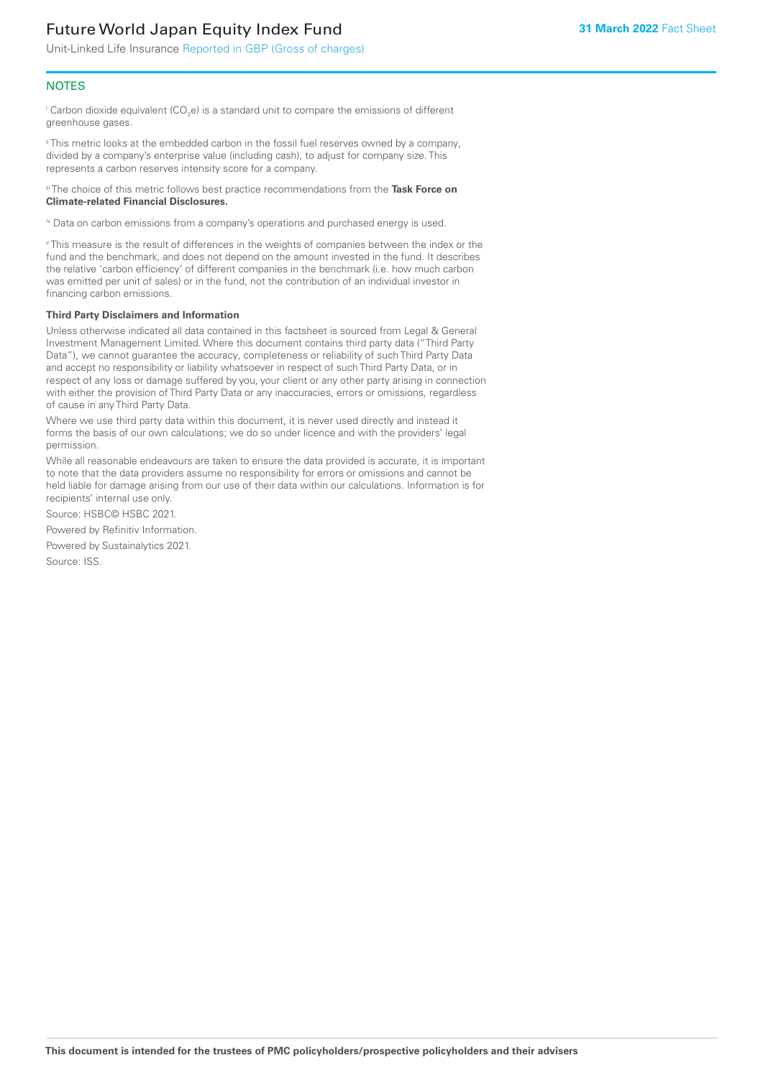## Future World Japan Equity Index Fund

Unit-Linked Life Insurance Reported in GBP (Gross of charges)

#### **NOTES**

 $^\mathrm{i}$  Carbon dioxide equivalent (CO<sub>2</sub>e) is a standard unit to compare the emissions of different greenhouse gases.

ii This metric looks at the embedded carbon in the fossil fuel reserves owned by a company, divided by a company's enterprise value (including cash), to adjust for company size. This represents a carbon reserves intensity score for a company.

iii The choice of this metric follows best practice recommendations from the **Task Force on Climate-related Financial Disclosures.**

iv Data on carbon emissions from a company's operations and purchased energy is used.

v This measure is the result of differences in the weights of companies between the index or the fund and the benchmark, and does not depend on the amount invested in the fund. It describes the relative 'carbon efficiency' of different companies in the benchmark (i.e. how much carbon was emitted per unit of sales) or in the fund, not the contribution of an individual investor in financing carbon emissions.

#### **Third Party Disclaimers and Information**

Unless otherwise indicated all data contained in this factsheet is sourced from Legal & General Investment Management Limited. Where this document contains third party data ("Third Party Data"), we cannot guarantee the accuracy, completeness or reliability of such Third Party Data and accept no responsibility or liability whatsoever in respect of such Third Party Data, or in respect of any loss or damage suffered by you, your client or any other party arising in connection with either the provision of Third Party Data or any inaccuracies, errors or omissions, regardless of cause in any Third Party Data.

Where we use third party data within this document, it is never used directly and instead it forms the basis of our own calculations; we do so under licence and with the providers' legal permission.

While all reasonable endeavours are taken to ensure the data provided is accurate, it is important to note that the data providers assume no responsibility for errors or omissions and cannot be held liable for damage arising from our use of their data within our calculations. Information is for recipients' internal use only.

Source: HSBC© HSBC 2021.

Powered by Refinitiv Information.

Powered by Sustainalytics 2021.

Source: ISS.